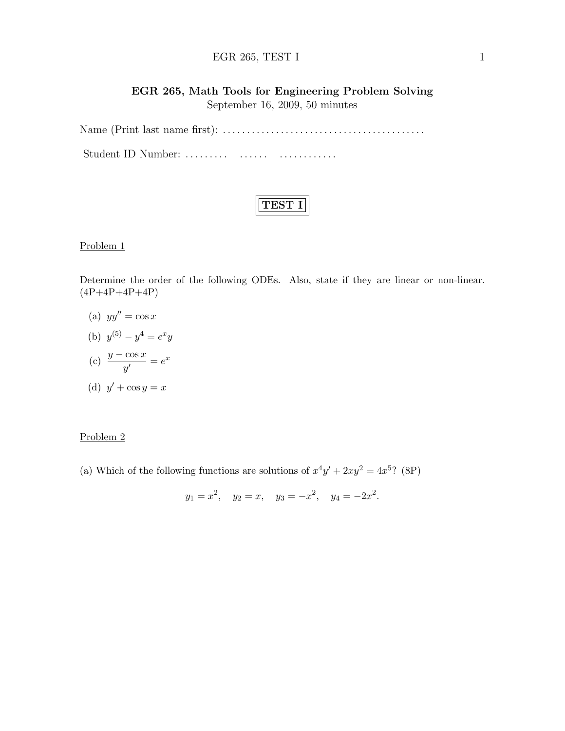# EGR 265, TEST I  $1$

# EGR 265, Math Tools for Engineering Problem Solving September 16, 2009, 50 minutes

Name (Print last name first): . . . . . . . . . . . . . . . . . . . . . . . . . . . . . . . . . . . . . . . . . . Student ID Number: ......... ....... ................

Problem 1

Determine the order of the following ODEs. Also, state if they are linear or non-linear.  $(4P+4P+4P+4P)$ 

(a)  $yy'' = \cos x$ 

(b) 
$$
y^{(5)} - y^4 = e^x y
$$

$$
(c) \frac{y - \cos x}{y'} = e^x
$$

(d) 
$$
y' + \cos y = x
$$

### Problem 2

(a) Which of the following functions are solutions of  $x^4y' + 2xy^2 = 4x^5$ ? (8P)

$$
y_1 = x^2
$$
,  $y_2 = x$ ,  $y_3 = -x^2$ ,  $y_4 = -2x^2$ .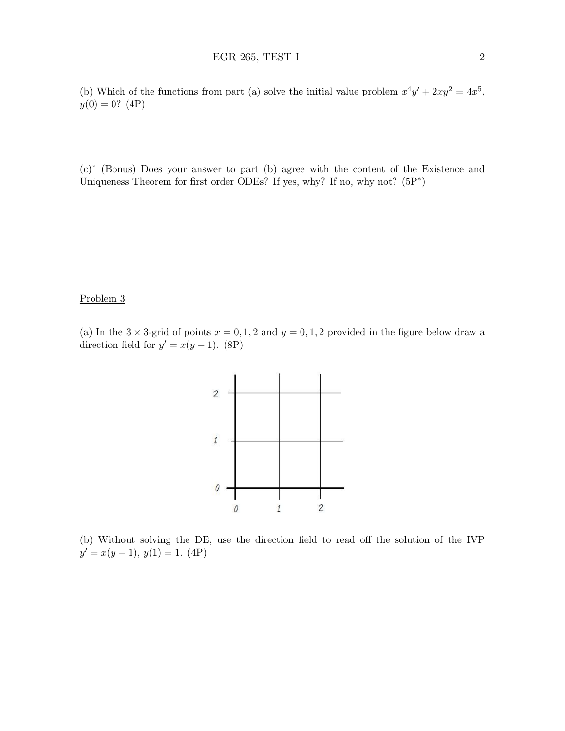(b) Which of the functions from part (a) solve the initial value problem  $x^4y' + 2xy^2 = 4x^5$ ,  $y(0) = 0?$  (4P)

(c)<sup>∗</sup> (Bonus) Does your answer to part (b) agree with the content of the Existence and Uniqueness Theorem for first order ODEs? If yes, why? If no, why not?  $(5P^*)$ 

#### Problem 3

(a) In the  $3 \times 3$ -grid of points  $x = 0, 1, 2$  and  $y = 0, 1, 2$  provided in the figure below draw a direction field for  $y' = x(y-1)$ . (8P)



(b) Without solving the DE, use the direction field to read off the solution of the IVP  $y' = x(y - 1), y(1) = 1. (4P)$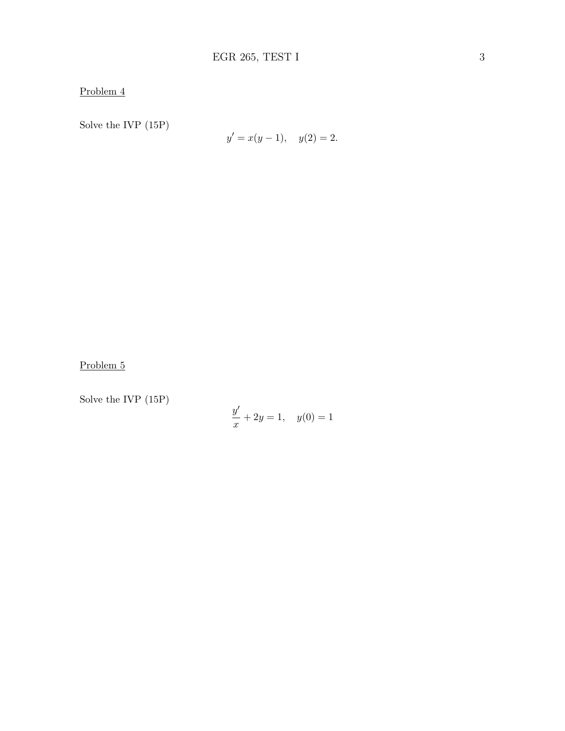Problem 4

Solve the IVP (15P)

$$
y' = x(y - 1), \quad y(2) = 2.
$$

Problem 5

Solve the IVP (15P)

$$
\frac{y'}{x} + 2y = 1, \quad y(0) = 1
$$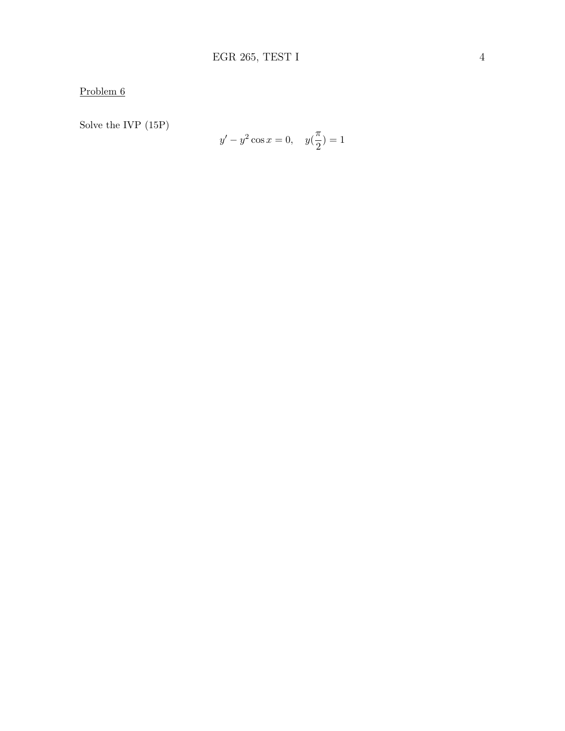Problem  $6$ 

Solve the IVP  $(15P)$ 

$$
y' - y^2 \cos x = 0, \quad y(\frac{\pi}{2}) = 1
$$